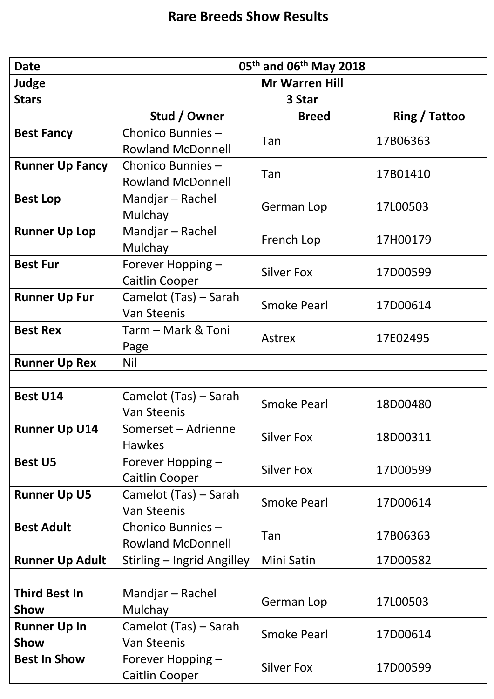| <b>Date</b>                  | 05 <sup>th</sup> and 06 <sup>th</sup> May 2018 |                    |               |
|------------------------------|------------------------------------------------|--------------------|---------------|
| Judge                        | <b>Mr Warren Hill</b>                          |                    |               |
| <b>Stars</b>                 | 3 Star                                         |                    |               |
|                              | Stud / Owner                                   | <b>Breed</b>       | Ring / Tattoo |
| <b>Best Fancy</b>            | Chonico Bunnies-<br><b>Rowland McDonnell</b>   | Tan                | 17B06363      |
| <b>Runner Up Fancy</b>       | Chonico Bunnies-<br><b>Rowland McDonnell</b>   | Tan                | 17B01410      |
| <b>Best Lop</b>              | Mandjar - Rachel<br>Mulchay                    | German Lop         | 17L00503      |
| <b>Runner Up Lop</b>         | Mandjar - Rachel<br>Mulchay                    | French Lop         | 17H00179      |
| <b>Best Fur</b>              | Forever Hopping -<br>Caitlin Cooper            | <b>Silver Fox</b>  | 17D00599      |
| <b>Runner Up Fur</b>         | Camelot (Tas) - Sarah<br><b>Van Steenis</b>    | <b>Smoke Pearl</b> | 17D00614      |
| <b>Best Rex</b>              | Tarm – Mark & Toni<br>Page                     | <b>Astrex</b>      | 17E02495      |
| <b>Runner Up Rex</b>         | Nil                                            |                    |               |
|                              |                                                |                    |               |
| <b>Best U14</b>              | Camelot (Tas) – Sarah<br><b>Van Steenis</b>    | <b>Smoke Pearl</b> | 18D00480      |
| <b>Runner Up U14</b>         | Somerset - Adrienne<br><b>Hawkes</b>           | <b>Silver Fox</b>  | 18D00311      |
| <b>Best U5</b>               | Forever Hopping -<br><b>Caitlin Cooper</b>     | <b>Silver Fox</b>  | 17D00599      |
| <b>Runner Up U5</b>          | Camelot (Tas) – Sarah<br><b>Van Steenis</b>    | <b>Smoke Pearl</b> | 17D00614      |
| <b>Best Adult</b>            | Chonico Bunnies-<br><b>Rowland McDonnell</b>   | Tan                | 17B06363      |
| <b>Runner Up Adult</b>       | Stirling - Ingrid Angilley                     | Mini Satin         | 17D00582      |
|                              |                                                |                    |               |
| <b>Third Best In</b><br>Show | Mandjar - Rachel<br>Mulchay                    | German Lop         | 17L00503      |
| <b>Runner Up In</b><br>Show  | Camelot (Tas) – Sarah<br><b>Van Steenis</b>    | <b>Smoke Pearl</b> | 17D00614      |
| <b>Best In Show</b>          | Forever Hopping -<br><b>Caitlin Cooper</b>     | <b>Silver Fox</b>  | 17D00599      |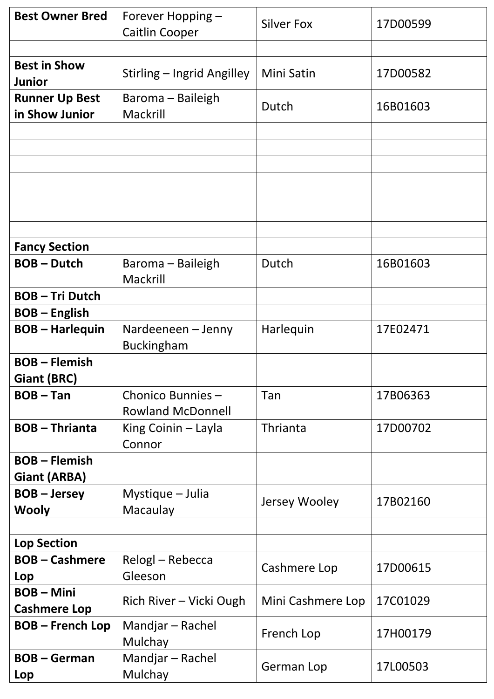| <b>Best Owner Bred</b>                    | Forever Hopping -<br>Caitlin Cooper          | <b>Silver Fox</b> | 17D00599 |
|-------------------------------------------|----------------------------------------------|-------------------|----------|
|                                           |                                              |                   |          |
| <b>Best in Show</b><br><b>Junior</b>      | Stirling – Ingrid Angilley                   | Mini Satin        | 17D00582 |
| <b>Runner Up Best</b><br>in Show Junior   | Baroma – Baileigh<br>Mackrill                | Dutch             | 16B01603 |
|                                           |                                              |                   |          |
|                                           |                                              |                   |          |
|                                           |                                              |                   |          |
|                                           |                                              |                   |          |
| <b>Fancy Section</b>                      |                                              |                   |          |
| <b>BOB-Dutch</b>                          | Baroma – Baileigh<br>Mackrill                | Dutch             | 16B01603 |
| <b>BOB-Tri Dutch</b>                      |                                              |                   |          |
| <b>BOB-English</b>                        |                                              |                   |          |
| <b>BOB-Harlequin</b>                      | Nardeeneen – Jenny<br><b>Buckingham</b>      | Harlequin         | 17E02471 |
| <b>BOB-Flemish</b><br>Giant (BRC)         |                                              |                   |          |
| $BOB - Tan$                               | Chonico Bunnies-<br><b>Rowland McDonnell</b> | Tan               | 17B06363 |
| <b>BOB-Thrianta</b>                       | King Coinin - Layla<br>Connor                | Thrianta          | 17D00702 |
| <b>BOB-Flemish</b><br><b>Giant (ARBA)</b> |                                              |                   |          |
| <b>BOB-Jersey</b><br><b>Wooly</b>         | Mystique – Julia<br>Macaulay                 | Jersey Wooley     | 17B02160 |
|                                           |                                              |                   |          |
| <b>Lop Section</b>                        |                                              |                   |          |
| <b>BOB-Cashmere</b><br>Lop                | Relogl - Rebecca<br>Gleeson                  | Cashmere Lop      | 17D00615 |
| <b>BOB-Mini</b><br><b>Cashmere Lop</b>    | Rich River - Vicki Ough                      | Mini Cashmere Lop | 17C01029 |
| <b>BOB-French Lop</b>                     | Mandjar - Rachel<br>Mulchay                  | French Lop        | 17H00179 |
| <b>BOB-German</b><br>Lop                  | Mandjar - Rachel<br>Mulchay                  | German Lop        | 17L00503 |